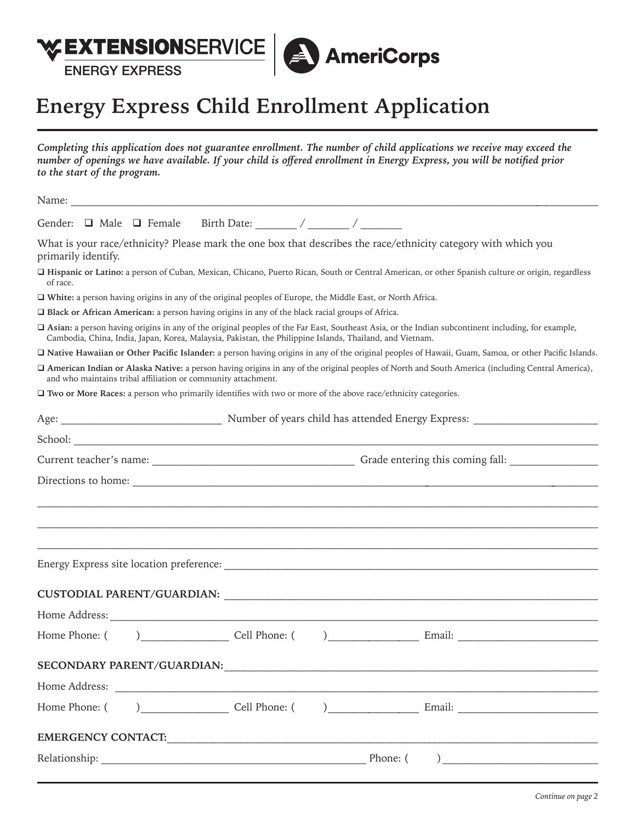

## **Energy Express Child Enrollment Application**

| Completing this application does not guarantee enrollment. The number of child applications we receive may exceed the<br>number of openings we have available. If your child is offered enrollment in Energy Express, you will be notified prior<br>to the start of the program. |
|----------------------------------------------------------------------------------------------------------------------------------------------------------------------------------------------------------------------------------------------------------------------------------|
|                                                                                                                                                                                                                                                                                  |
|                                                                                                                                                                                                                                                                                  |
| What is your race/ethnicity? Please mark the one box that describes the race/ethnicity category with which you<br>primarily identify.                                                                                                                                            |
| Hispanic or Latino: a person of Cuban, Mexican, Chicano, Puerto Rican, South or Central American, or other Spanish culture or origin, regardless<br>of race.                                                                                                                     |
| White: a person having origins in any of the original peoples of Europe, the Middle East, or North Africa.                                                                                                                                                                       |
| □ Black or African American: a person having origins in any of the black racial groups of Africa.                                                                                                                                                                                |
| □ Asian: a person having origins in any of the original peoples of the Far East, Southeast Asia, or the Indian subcontinent including, for example,<br>Cambodia, China, India, Japan, Korea, Malaysia, Pakistan, the Philippine Islands, Thailand, and Vietnam.                  |
| □ Native Hawaiian or Other Pacific Islander: a person having origins in any of the original peoples of Hawaii, Guam, Samoa, or other Pacific Islands.                                                                                                                            |
| □ American Indian or Alaska Native: a person having origins in any of the original peoples of North and South America (including Central America),<br>and who maintains tribal affiliation or community attachment.                                                              |
| □ Two or More Races: a person who primarily identifies with two or more of the above race/ethnicity categories.                                                                                                                                                                  |
|                                                                                                                                                                                                                                                                                  |
|                                                                                                                                                                                                                                                                                  |
|                                                                                                                                                                                                                                                                                  |
|                                                                                                                                                                                                                                                                                  |
|                                                                                                                                                                                                                                                                                  |
|                                                                                                                                                                                                                                                                                  |
|                                                                                                                                                                                                                                                                                  |
| Energy Express site location preference: University of the contract of the contract of the contract of the contract of the contract of the contract of the contract of the contract of the contract of the contract of the con                                                   |
|                                                                                                                                                                                                                                                                                  |
|                                                                                                                                                                                                                                                                                  |
| Home Address:                                                                                                                                                                                                                                                                    |
| Home Phone: (                                                                                                                                                                                                                                                                    |
|                                                                                                                                                                                                                                                                                  |
|                                                                                                                                                                                                                                                                                  |
|                                                                                                                                                                                                                                                                                  |
|                                                                                                                                                                                                                                                                                  |
|                                                                                                                                                                                                                                                                                  |
|                                                                                                                                                                                                                                                                                  |